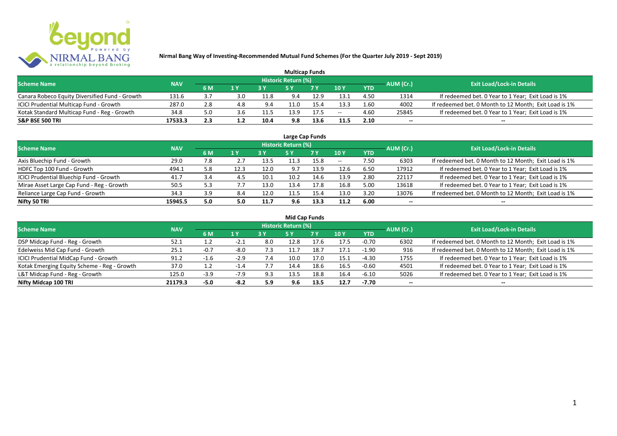

| <b>Multicap Funds</b>                          |            |     |     |      |                            |           |               |            |           |                                                       |  |  |  |
|------------------------------------------------|------------|-----|-----|------|----------------------------|-----------|---------------|------------|-----------|-------------------------------------------------------|--|--|--|
| <b>Scheme Name</b>                             | <b>NAV</b> |     |     |      | <b>Historic Return (%)</b> |           |               |            | AUM (Cr.) | <b>Exit Load/Lock-in Details</b>                      |  |  |  |
|                                                |            | 6 M | 1 Y |      |                            | <b>7Y</b> | $\sqrt{10}$ y | <b>YTD</b> |           |                                                       |  |  |  |
| Canara Robeco Equity Diversified Fund - Growth | 131.6      | ن ک | 3.0 | 11.8 | 9.4                        | 12.9      | 13.1          | 4.50       | 1314      | If redeemed bet. 0 Year to 1 Year; Exit Load is 1%    |  |  |  |
| ICICI Prudential Multicap Fund - Growth        | 287.0      | 2.8 | 4.8 | 9.4  |                            | 15.4      | 13.3          | 1.60       | 4002      | If redeemed bet. 0 Month to 12 Month; Exit Load is 1% |  |  |  |
| Kotak Standard Multicap Fund - Reg - Growth    | 34.8       | 5.0 | s.b | 11.5 | 13.9                       | 17.5      | $- -$         | 4.60       | 25845     | If redeemed bet. 0 Year to 1 Year; Exit Load is 1%    |  |  |  |
| <b>S&amp;P BSE 500 TRI</b>                     | 17533.3    | 2.3 |     | 10.4 | 9.8                        |           | 11.5          | 2.10       | $-$       | $- -$                                                 |  |  |  |

| Large Cap Funds                           |            |     |      |      |                            |      |       |            |           |                                                       |  |  |  |  |
|-------------------------------------------|------------|-----|------|------|----------------------------|------|-------|------------|-----------|-------------------------------------------------------|--|--|--|--|
| <b>Scheme Name</b>                        | <b>NAV</b> |     |      |      | <b>Historic Return (%)</b> |      |       |            | AUM (Cr.) | <b>Exit Load/Lock-in Details</b>                      |  |  |  |  |
|                                           |            | 6 M | 1 Y  |      | <b>5Y</b>                  | 7 Y  | 10Y   | <b>YTD</b> |           |                                                       |  |  |  |  |
| Axis Bluechip Fund - Growth               | 29.0       | 7.8 |      | 13.5 | 11.3                       | 15.8 | $- -$ | 7.50       | 6303      | If redeemed bet. 0 Month to 12 Month; Exit Load is 1% |  |  |  |  |
| HDFC Top 100 Fund - Growth                | 494.1      | 5.8 | 12.3 | 12.0 | 9.7                        | 13.9 | 12.6  | 6.50       | 17912     | If redeemed bet. 0 Year to 1 Year; Exit Load is 1%    |  |  |  |  |
| ICICI Prudential Bluechip Fund - Growth   | 41.7       | 3.4 | 4.5  | 10.1 | 10.2                       | 14.6 | 13.9  | 2.80       | 22117     | If redeemed bet. 0 Year to 1 Year; Exit Load is 1%    |  |  |  |  |
| Mirae Asset Large Cap Fund - Reg - Growth | 50.5       | 5.3 |      | 13.0 | 13.4                       | 17.8 | 16.8  | 5.00       | 13618     | If redeemed bet. 0 Year to 1 Year; Exit Load is 1%    |  |  |  |  |
| Reliance Large Cap Fund - Growth          | 34.3       | 3.9 | 8.4  | 12.0 | 11.5                       | 15.4 | 13.0  | 3.20       | 13076     | If redeemed bet. 0 Month to 12 Month; Exit Load is 1% |  |  |  |  |
| Nifty 50 TRI                              | 15945.5    | 5.0 | 5.0  | 11.7 | 9.6                        | 13.3 | 11.2  | 6.00       |           | --                                                    |  |  |  |  |

| <b>Mid Cap Funds</b>                        |            |        |        |               |                            |           |      |            |                          |                                                       |  |  |  |  |
|---------------------------------------------|------------|--------|--------|---------------|----------------------------|-----------|------|------------|--------------------------|-------------------------------------------------------|--|--|--|--|
| <b>Scheme Name</b>                          | <b>NAV</b> |        |        |               | <b>Historic Return (%)</b> |           |      |            | AUM (Cr.)                | <b>Exit Load/Lock-in Details</b>                      |  |  |  |  |
|                                             |            | 6 M    | 1 Y    |               | 5 Y                        | <b>7Y</b> | 10Y  | <b>YTD</b> |                          |                                                       |  |  |  |  |
| DSP Midcap Fund - Reg - Growth              | 52.1       |        | $-2.1$ | 8.0           | 12.8                       | 17.6      | 17.5 | $-0.70$    | 6302                     | If redeemed bet. 0 Month to 12 Month; Exit Load is 1% |  |  |  |  |
| Edelweiss Mid Cap Fund - Growth             | 25.1       | $-0.7$ | $-8.0$ | 7.3           | 11.7                       | 18.7      | 17.1 | $-1.90$    | 916                      | If redeemed bet. 0 Month to 12 Month; Exit Load is 1% |  |  |  |  |
| ICICI Prudential MidCap Fund - Growth       | 91.2       | $-1$   | $-2.9$ | 7.4           | 10.0                       | 17.0      | 15.1 | -4.30      | 1755                     | If redeemed bet. 0 Year to 1 Year; Exit Load is 1%    |  |  |  |  |
| Kotak Emerging Equity Scheme - Reg - Growth | 37.0       | 1.2    | $-1.4$ | $\frac{1}{2}$ | 14.4                       | 18.6      | 16.5 | $-0.60$    | 4501                     | If redeemed bet. 0 Year to 1 Year; Exit Load is 1%    |  |  |  |  |
| L&T Midcap Fund - Reg - Growth              | 125.0      | $-3.9$ | $-7.9$ | 9.3           | 13.5                       | 18.8      | 16.4 | $-6.10$    | 5026                     | If redeemed bet. 0 Year to 1 Year; Exit Load is 1%    |  |  |  |  |
| Nifty Midcap 100 TRI                        | 21179.3    | $-5.0$ | $-8.2$ | 5.9           | 9.6                        | 13.5      | 12.7 | -7.70      | $\overline{\phantom{a}}$ | $- -$                                                 |  |  |  |  |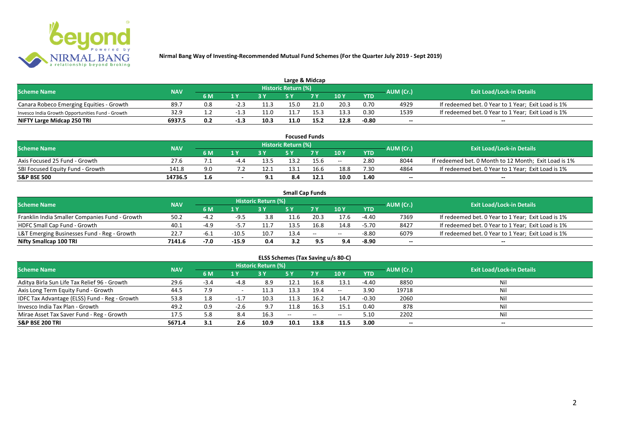

| Large & Midcap                                   |            |     |                         |      |                            |      |      |            |           |                                                    |  |  |  |
|--------------------------------------------------|------------|-----|-------------------------|------|----------------------------|------|------|------------|-----------|----------------------------------------------------|--|--|--|
| <b>Scheme Name</b>                               | <b>NAV</b> |     |                         |      | <b>Historic Return (%)</b> |      |      |            | AUM (Cr.) | <b>Exit Load/Lock-in Details</b>                   |  |  |  |
|                                                  |            | 6 M | $\mathbf{A} \mathbf{V}$ |      |                            | 7 V  | 10Y  | <b>YTD</b> |           |                                                    |  |  |  |
| Canara Robeco Emerging Equities - Growth         | 89.7       |     | -2.3                    | 11.3 | 15.0                       | 21.0 | 20.3 | 0.70       | 4929      | If redeemed bet. 0 Year to 1 Year; Exit Load is 1% |  |  |  |
| Invesco India Growth Opportunities Fund - Growth | 32.9       |     |                         | 11.0 | 11.7                       |      | 13.3 | 0.30       | 1539      | If redeemed bet. 0 Year to 1 Year; Exit Load is 1% |  |  |  |
| NIFTY Large Midcap 250 TRI                       | 6937.5     | 0.2 | $-1.3$                  | 10.3 | 11.0                       | 15.2 | 12.8 | $-0.80$    | $- -$     | $- -$                                              |  |  |  |

| <b>Focused Funds</b>             |            |     |        |      |                     |      |       |            |           |                                                       |  |  |  |
|----------------------------------|------------|-----|--------|------|---------------------|------|-------|------------|-----------|-------------------------------------------------------|--|--|--|
| <b>Scheme Name</b>               | <b>NAV</b> |     |        |      | Historic Return (%) |      |       |            | AUM (Cr.) | <b>Exit Load/Lock-in Details</b>                      |  |  |  |
|                                  |            | 6 M | 1 V    |      | c v                 | 7 V  | 10 Y  | <b>YTD</b> |           |                                                       |  |  |  |
| Axis Focused 25 Fund - Growth    | 27.6       |     | $-4.4$ | 13.5 | 13.2                | 15.6 | $- -$ | 2.80       | 8044      | If redeemed bet. 0 Month to 12 Month; Exit Load is 1% |  |  |  |
| SBI Focused Equity Fund - Growth | 141.8      | 9.0 |        | 12.  | 13.1                | 16.6 | 18.8  | 7.30       | 4864      | If redeemed bet. 0 Year to 1 Year; Exit Load is 1%    |  |  |  |
| <b>S&amp;P BSE 500</b>           | 14736.5    | 1.6 |        |      | 8.4                 | 12.1 | 10.0  | 1.40       | $- -$     | $- -$                                                 |  |  |  |

|                                                |            |        |         |                     |      | <b>Small Cap Funds</b>                         |       |            |           |                                                    |
|------------------------------------------------|------------|--------|---------|---------------------|------|------------------------------------------------|-------|------------|-----------|----------------------------------------------------|
| <b>Scheme Name</b>                             | <b>NAV</b> |        |         | Historic Return (%) |      |                                                |       |            | AUM (Cr.) | <b>Exit Load/Lock-in Details</b>                   |
|                                                |            | 6 M    |         |                     |      |                                                | 10Y   | <b>YTD</b> |           |                                                    |
| Franklin India Smaller Companies Fund - Growth | 50.2       | $-4.2$ | $-9.5$  | 3.8                 | 11.6 | 20.3                                           | 17.6  | $-4.40$    | 7369      | If redeemed bet. 0 Year to 1 Year; Exit Load is 1% |
| HDFC Small Cap Fund - Growth                   | 40.1       | $-4.9$ | -כ.     | 11.7                | 13.5 | 16.8                                           | 14.8  | $-5.70$    | 8427      | If redeemed bet. 0 Year to 1 Year; Exit Load is 1% |
| L&T Emerging Businesses Fund - Reg - Growth    | 22.7       | -b.⊥   | $-10.5$ | 10.7                | 13.4 | $\hspace{0.1mm}-\hspace{0.1mm}-\hspace{0.1mm}$ | $- -$ | $-8.80$    | 6079      | If redeemed bet. 0 Year to 1 Year; Exit Load is 1% |
| Nifty Smallcap 100 TRI                         | 7141.6     | $-7.0$ | $-15.9$ | 0.4                 | 3.2  |                                                | 9.4   | $-8.90$    | $- -$     | $- -$                                              |

# **ELSS Schemes (Tax Saving u/s 80-C)**

| <b>Scheme Name</b>                            | <b>NAV</b> |        |        | <b>Historic Return (%)</b> |      |      |         |            | AUM (Cr.)                | <b>Exit Load/Lock-in Details</b> |
|-----------------------------------------------|------------|--------|--------|----------------------------|------|------|---------|------------|--------------------------|----------------------------------|
|                                               |            | 6 M    | 1 Y    |                            | 5 Y  | 7Y   | 10Y     | <b>YTD</b> |                          |                                  |
| Aditya Birla Sun Life Tax Relief 96 - Growth  | 29.6       | $-3.4$ | $-4.8$ | 8.9                        | 12.1 | 16.8 | 13.1    | -4.40      | 8850                     | Nil                              |
| Axis Long Term Equity Fund - Growth           | 44.5       | 7.9    |        | 11.3                       | 13.3 | 19.4 | $-  \,$ | 3.90       | 19718                    |                                  |
| IDFC Tax Advantage (ELSS) Fund - Reg - Growth | 53.8       | 1.8    | $-1.7$ | 10.3                       | 11.3 | 16.2 | 14.7    | $-0.30$    | 2060                     |                                  |
| Invesco India Tax Plan - Growth               | 49.2       | 0.9    | $-2.6$ | 9.7                        | 11.8 | 16.3 | 15.1    | 0.40       | 878                      | Ni                               |
| Mirae Asset Tax Saver Fund - Reg - Growth     | 17.5       | 5.8    | 8.4    | 16.3                       | --   | --   | $- -$   | 5.10       | 2202                     |                                  |
| <b>S&amp;P BSE 200 TRI</b>                    | 5671.4     | 3.1    | 2.6    | 10.9                       | 10.1 | 13.8 | 11.5    | 3.00       | $\overline{\phantom{a}}$ | $\overline{\phantom{a}}$         |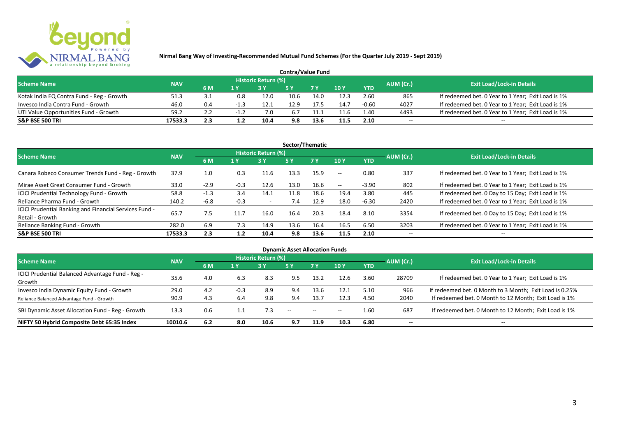

| <b>Contra/Value Fund</b>                  |            |           |      |                     |      |      |               |            |           |                                                    |  |  |  |
|-------------------------------------------|------------|-----------|------|---------------------|------|------|---------------|------------|-----------|----------------------------------------------------|--|--|--|
| <b>Scheme Name</b>                        | <b>NAV</b> |           |      | Historic Return (%) |      |      |               |            | AUM (Cr.) | <b>Exit Load/Lock-in Details</b>                   |  |  |  |
|                                           |            | <b>6M</b> | 1 Y  |                     |      |      | $\sqrt{10}$ Y | <b>YTD</b> |           |                                                    |  |  |  |
| Kotak India EQ Contra Fund - Reg - Growth | 51.3       |           | 0.8  | 12.0                | 10.6 | 14.0 | 12.3          | 2.60       | 865       | If redeemed bet. 0 Year to 1 Year; Exit Load is 1% |  |  |  |
| Invesco India Contra Fund - Growth        | 46.0       | 0.4       |      | 12.1                | 12.9 | 17.5 | 14.7          | $-0.60$    | 4027      | If redeemed bet. 0 Year to 1 Year; Exit Load is 1% |  |  |  |
| UTI Value Opportunities Fund - Growth     | 59.2       |           | $-1$ | 7.0                 | 6.7  |      | 11.6          | 1.40       | 4493      | If redeemed bet. 0 Year to 1 Year; Exit Load is 1% |  |  |  |
| <b>S&amp;P BSE 500 TRI</b>                | 17533.3    | 2.3       |      | 10.4                | 9.8  |      | 11.5          | 2.10       | --        | $- -$                                              |  |  |  |

| Sector/Thematic                                                           |            |        |        |                            |            |           |            |            |           |                                                    |  |  |  |
|---------------------------------------------------------------------------|------------|--------|--------|----------------------------|------------|-----------|------------|------------|-----------|----------------------------------------------------|--|--|--|
| <b>Scheme Name</b>                                                        | <b>NAV</b> |        |        | <b>Historic Return (%)</b> |            |           |            |            | AUM (Cr.) | <b>Exit Load/Lock-in Details</b>                   |  |  |  |
|                                                                           |            | 6 M    | 1 Y    | <b>3 Y</b>                 | <b>5 Y</b> | <b>7Y</b> | 10Y        | <b>YTD</b> |           |                                                    |  |  |  |
| Canara Robeco Consumer Trends Fund - Reg - Growth                         | 37.9       | 1.0    | 0.3    | 11.6                       | 13.3       | 15.9      | $\sim$ $-$ | 0.80       | 337       | If redeemed bet. 0 Year to 1 Year; Exit Load is 1% |  |  |  |
| Mirae Asset Great Consumer Fund - Growth                                  | 33.0       | $-2.9$ | $-0.3$ | 12.6                       | 13.0       | 16.6      | $\sim$ $-$ | $-3.90$    | 802       | If redeemed bet. 0 Year to 1 Year; Exit Load is 1% |  |  |  |
| <b>ICICI Prudential Technology Fund - Growth</b>                          | 58.8       | $-1.3$ | 3.4    | 14.1                       | 11.8       | 18.6      | 19.4       | 3.80       | 445       | If redeemed bet. 0 Day to 15 Day; Exit Load is 1%  |  |  |  |
| Reliance Pharma Fund - Growth                                             | 140.2      | -6.8   | $-0.3$ | $\overline{\phantom{0}}$   | 7.4        | 12.9      | 18.0       | $-6.30$    | 2420      | If redeemed bet. 0 Year to 1 Year; Exit Load is 1% |  |  |  |
| ICICI Prudential Banking and Financial Services Fund -<br>Retail - Growth | 65.7       | 7.5    | 11.7   | 16.0                       | 16.4       | 20.3      | 18.4       | 8.10       | 3354      | If redeemed bet. 0 Day to 15 Day; Exit Load is 1%  |  |  |  |
| Reliance Banking Fund - Growth                                            | 282.0      | 6.9    | 7.3    | 14.9                       | 13.6       | 16.4      | 16.5       | 6.50       | 3203      | If redeemed bet. 0 Year to 1 Year; Exit Load is 1% |  |  |  |
| <b>S&amp;P BSE 500 TRI</b>                                                | 17533.3    | 2.3    | 1.2    | 10.4                       | 9.8        | 13.6      | 11.5       | 2.10       |           | --                                                 |  |  |  |

| <b>Dynamic Asset Allocation Funds</b>            |            |     |        |                            |               |               |       |            |                          |                                                         |  |  |  |
|--------------------------------------------------|------------|-----|--------|----------------------------|---------------|---------------|-------|------------|--------------------------|---------------------------------------------------------|--|--|--|
| <b>Scheme Name</b>                               | <b>NAV</b> |     |        | <b>Historic Return (%)</b> |               |               |       |            | AUM (Cr.)                | <b>Exit Load/Lock-in Details</b>                        |  |  |  |
|                                                  |            | 6 M | 1 Y    | 3Y                         | 5 Y           | 7Y            | 10Y   | <b>YTD</b> |                          |                                                         |  |  |  |
| ICICI Prudential Balanced Advantage Fund - Reg - | 35.6       | 4.0 | 6.3    | 8.3                        |               | 13.2          | 12.6  | 3.60       | 28709                    | If redeemed bet. 0 Year to 1 Year; Exit Load is 1%      |  |  |  |
| Growth                                           |            |     |        |                            | 9.5           |               |       |            |                          |                                                         |  |  |  |
| Invesco India Dynamic Equity Fund - Growth       | 29.0       | 4.2 | $-0.3$ | 8.9                        | 9.4           | 13.6          | 12.1  | 5.10       | 966                      | If redeemed bet. 0 Month to 3 Month; Exit Load is 0.25% |  |  |  |
| Reliance Balanced Advantage Fund - Growth        | 90.9       | 4.3 | 6.4    | 9.8                        | 9.4           | 13.7          | 12.3  | 4.50       | 2040                     | If redeemed bet. 0 Month to 12 Month; Exit Load is 1%   |  |  |  |
| SBI Dynamic Asset Allocation Fund - Reg - Growth | 13.3       | 0.6 |        |                            | $\sim$ $\sim$ | $\sim$ $\sim$ | $- -$ | 1.60       | 687                      | If redeemed bet. 0 Month to 12 Month; Exit Load is 1%   |  |  |  |
| NIFTY 50 Hybrid Composite Debt 65:35 Index       | 10010.6    | 6.2 | 8.0    | 10.6                       | 9.7           | 11.9          | 10.3  | 6.80       | $\overline{\phantom{a}}$ | $- -$                                                   |  |  |  |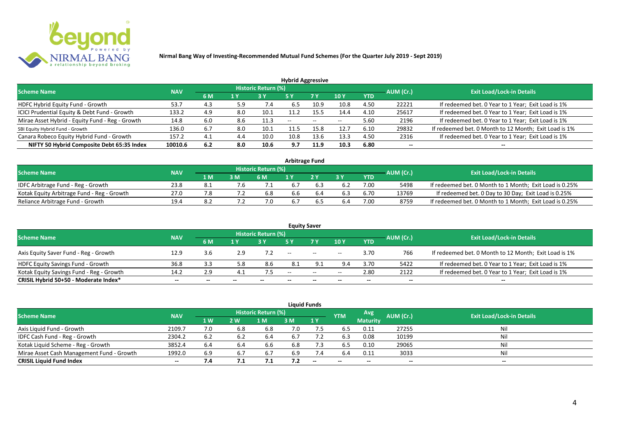

| <b>Hybrid Aggressive</b>                        |            |     |     |                            |                          |      |                          |            |                          |                                                       |  |  |  |  |
|-------------------------------------------------|------------|-----|-----|----------------------------|--------------------------|------|--------------------------|------------|--------------------------|-------------------------------------------------------|--|--|--|--|
| <b>Scheme Name</b>                              | <b>NAV</b> |     |     | <b>Historic Return (%)</b> |                          |      |                          |            | AUM (Cr.)                | <b>Exit Load/Lock-in Details</b>                      |  |  |  |  |
|                                                 |            | 6 M | 1 Y |                            | 5 Y                      | 7 Y  | 10Y                      | <b>YTD</b> |                          |                                                       |  |  |  |  |
| HDFC Hybrid Equity Fund - Growth                | 53.7       | 4.3 | 5.9 | 7.4                        | 6.5                      | 10.9 | 10.8                     | 4.50       | 22221                    | If redeemed bet. 0 Year to 1 Year; Exit Load is 1%    |  |  |  |  |
| ICICI Prudential Equity & Debt Fund - Growth    | 133.2      | 4.9 | 8.0 | 10.1                       | 11.2                     | 15.5 | 14.4                     | 4.10       | 25617                    | If redeemed bet. 0 Year to 1 Year; Exit Load is 1%    |  |  |  |  |
| Mirae Asset Hybrid - Equity Fund - Reg - Growth | 14.8       | 6.0 | 8.6 | 11.3                       | $\overline{\phantom{a}}$ | --   | $\overline{\phantom{a}}$ | 5.60       | 2196                     | If redeemed bet. 0 Year to 1 Year; Exit Load is 1%    |  |  |  |  |
| SBI Equity Hybrid Fund - Growth                 | 136.0      | 6.7 | 8.0 | 10.1                       | 11.5                     | 15.8 | 12.7                     | 6.10       | 29832                    | If redeemed bet. 0 Month to 12 Month; Exit Load is 1% |  |  |  |  |
| Canara Robeco Equity Hybrid Fund - Growth       | 157.2      | 4.1 | 4.4 | 10.0                       | 10.8                     | 13.6 | 13.3                     | 4.50       | 2316                     | If redeemed bet. 0 Year to 1 Year; Exit Load is 1%    |  |  |  |  |
| NIFTY 50 Hybrid Composite Debt 65:35 Index      | 10010.6    | 6.2 | 8.0 | 10.6                       | 9.7                      | 11.9 | 10.3                     | 6.80       | $\overline{\phantom{a}}$ | $- -$                                                 |  |  |  |  |

| <b>Arbitrage Fund</b>                      |            |     |     |                            |     |  |     |      |           |                                                         |  |  |  |
|--------------------------------------------|------------|-----|-----|----------------------------|-----|--|-----|------|-----------|---------------------------------------------------------|--|--|--|
| <b>Scheme Name</b>                         | <b>NAV</b> |     |     | <b>Historic Return (%)</b> |     |  |     |      | AUM (Cr.) | <b>Exit Load/Lock-in Details</b>                        |  |  |  |
|                                            |            | 1 M | 3 M | 6 M                        |     |  | 2 V | YTD  |           |                                                         |  |  |  |
| IDFC Arbitrage Fund - Reg - Growth         | 23.8       |     |     |                            | 6.7 |  |     | 7.00 | 5498      | If redeemed bet. 0 Month to 1 Month; Exit Load is 0.25% |  |  |  |
| Kotak Equity Arbitrage Fund - Reg - Growth | 27.0       |     |     | 6.8                        | 6.6 |  |     | 6.70 | 13769     | If redeemed bet. 0 Day to 30 Day; Exit Load is 0.25%    |  |  |  |
| Reliance Arbitrage Fund - Growth           | 19.4       | 8.2 |     |                            | 6.7 |  | 6.4 | 7.00 | 8759      | If redeemed bet. 0 Month to 1 Month; Exit Load is 0.25% |  |  |  |

|                                          |            |       |       |                     |       | <b>Equity Saver</b>                            |                 |            |           |                                                       |
|------------------------------------------|------------|-------|-------|---------------------|-------|------------------------------------------------|-----------------|------------|-----------|-------------------------------------------------------|
| <b>Scheme Name</b>                       | <b>NAV</b> |       |       | Historic Return (%) |       |                                                |                 |            | AUM (Cr.) | <b>Exit Load/Lock-in Details</b>                      |
|                                          |            | 6 M   | 1 V   |                     |       | 7 <sub>V</sub>                                 | 10 <sub>V</sub> | <b>YTD</b> |           |                                                       |
| Axis Equity Saver Fund - Reg - Growth    | 12.9       | 3.6   | 2.9   |                     | $- -$ | $\hspace{0.1mm}-\hspace{0.1mm}-\hspace{0.1mm}$ | $- -$           | 3.70       | 766       | If redeemed bet. 0 Month to 12 Month; Exit Load is 1% |
| HDFC Equity Savings Fund - Growth        | 36.8       | 3.3   | 5.8   | 8.6                 | 8.1   | a.                                             | 9.4             | 3.70       | 5422      | If redeemed bet. 0 Year to 1 Year; Exit Load is 1%    |
| Kotak Equity Savings Fund - Reg - Growth | 14.2       | 2.9   |       | 7.5                 | $- -$ | $\sim$                                         | $- -$           | 2.80       | 2122      | If redeemed bet. 0 Year to 1 Year; Exit Load is 1%    |
| CRISIL Hybrid 50+50 - Moderate Index*    | $- -$      | $- -$ | $- -$ |                     | $- -$ | --                                             |                 | $- -$      | $- -$     |                                                       |

| <b>Liquid Funds</b>                       |                                  |           |     |       |     |                          |            |                 |           |       |  |  |  |  |
|-------------------------------------------|----------------------------------|-----------|-----|-------|-----|--------------------------|------------|-----------------|-----------|-------|--|--|--|--|
| <b>Scheme Name</b>                        | <b>Exit Load/Lock-in Details</b> |           |     |       |     |                          |            |                 |           |       |  |  |  |  |
|                                           | <b>NAV</b>                       | <b>1W</b> | 2 W | l M   | 3 M | 1Y                       | <b>YTM</b> | <b>Maturity</b> | AUM (Cr.) |       |  |  |  |  |
| Axis Liquid Fund - Growth                 | 2109.7                           |           | 6.8 | 6.8   | 7.0 |                          | 6.5        | 0.11            | 27255     | Nil   |  |  |  |  |
| IDFC Cash Fund - Reg - Growth             | 2304.2                           | 6.2       |     | -6.4  | 6.7 |                          | 6.3        | 0.08            | 10199     | Nil   |  |  |  |  |
| Kotak Liquid Scheme - Reg - Growth        | 3852.4                           | 6.4       | 6.4 | 6.6   | 6.8 | 7.3                      | 6.5        | 0.10            | 29065     | Nil   |  |  |  |  |
| Mirae Asset Cash Management Fund - Growth | 1992.0                           | 6.9       |     | 6.7   | 6.9 | 7.4                      | 6.4        | 0.11            | 3033      | Nil   |  |  |  |  |
| <b>CRISIL Liquid Fund Index</b>           | $- -$                            | 7.4       | 7.1 | , , 1 | 7.2 | $\overline{\phantom{a}}$ | $- -$      | $- -$           | $-$       | $- -$ |  |  |  |  |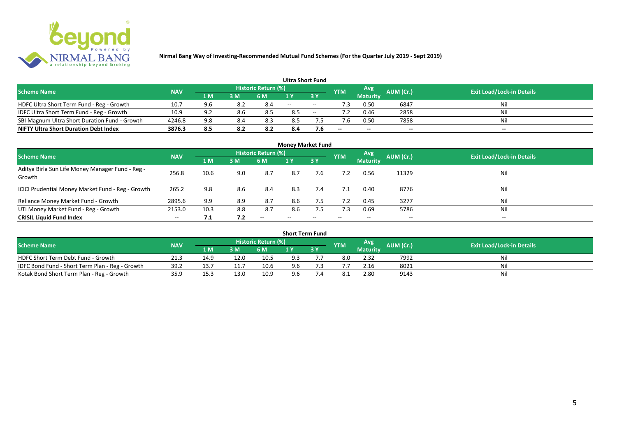

|                                               |            |     |     |                            | <b>Ultra Short Fund</b> |        |            |                 |           |                                  |
|-----------------------------------------------|------------|-----|-----|----------------------------|-------------------------|--------|------------|-----------------|-----------|----------------------------------|
| <b>Scheme Name</b>                            | <b>NAV</b> |     |     | <b>Historic Return (%)</b> |                         |        | <b>YTM</b> | Avg             | AUM (Cr.) | <b>Exit Load/Lock-in Details</b> |
|                                               |            | 1 M | 3 M | 6 M                        | 1 V                     |        |            | <b>Maturity</b> |           |                                  |
| HDFC Ultra Short Term Fund - Reg - Growth     | 10.7       | 9.6 | 8.2 | 8.4                        | $- -$                   | $\sim$ | ٠3         | 0.50            | 6847      | Nil                              |
| IDFC Ultra Short Term Fund - Reg - Growth     | 10.9       | 9.2 | 8.6 |                            | 8.5                     | $\sim$ |            | 0.46            | 2858      | Nil                              |
| SBI Magnum Ultra Short Duration Fund - Growth | 4246.8     | 9.8 | 8.4 | 8.3                        | 8.5                     |        |            | 0.50            | 7858      | Nil                              |
| <b>NIFTY Ultra Short Duration Debt Index</b>  | 3876.3     | 8.5 | 8.2 | 8.2                        | 8.4                     | 7.6    | $- -$      | $- -$           | $- -$     | $- -$                            |

| <b>Money Market Fund</b>                                   |            |      |     |                     |                          |     |            |                 |           |                                  |  |  |  |  |
|------------------------------------------------------------|------------|------|-----|---------------------|--------------------------|-----|------------|-----------------|-----------|----------------------------------|--|--|--|--|
| <b>Scheme Name</b>                                         | <b>NAV</b> |      |     | Historic Return (%) |                          |     | <b>YTM</b> | Avg             | AUM (Cr.) | <b>Exit Load/Lock-in Details</b> |  |  |  |  |
|                                                            |            | 1 M  | 3M  | 6 M                 | 1Y                       | 3 Y |            | <b>Maturity</b> |           |                                  |  |  |  |  |
| Aditya Birla Sun Life Money Manager Fund - Reg -<br>Growth | 256.8      | 10.6 | 9.0 | 8.7                 | 8.7                      | 7.6 |            | 0.56            | 11329     | Nil                              |  |  |  |  |
| ICICI Prudential Money Market Fund - Reg - Growth          | 265.2      | 9.8  | 8.6 | 8.4                 | 8.3                      | 7.4 | 7.1        | 0.40            | 8776      | Nil                              |  |  |  |  |
| Reliance Money Market Fund - Growth                        | 2895.6     | 9.9  | 8.9 | 8.7                 | 8.6                      | 7.5 | 7.2        | 0.45            | 3277      | Nil                              |  |  |  |  |
| UTI Money Market Fund - Reg - Growth                       | 2153.0     | 10.3 | 8.8 | 8.7                 | 8.6                      | 7.5 | 7.3        | 0.69            | 5786      | Nil                              |  |  |  |  |
| <b>CRISIL Liquid Fund Index</b>                            | $- -$      | 7.1  | 7.2 | $- -$               | $\overline{\phantom{a}}$ | --  | $- -$      | $- -$           | $- -$     | $\overline{\phantom{a}}$         |  |  |  |  |

| <b>Short Term Fund</b>                          |            |      |      |                            |     |    |            |                 |                  |                                  |  |  |  |  |
|-------------------------------------------------|------------|------|------|----------------------------|-----|----|------------|-----------------|------------------|----------------------------------|--|--|--|--|
| <b>Scheme Name</b>                              | <b>NAV</b> |      |      | <b>Historic Return (%)</b> |     |    | <b>YTM</b> | Avg             | <b>AUM (Cr.)</b> | <b>Exit Load/Lock-in Details</b> |  |  |  |  |
|                                                 |            | 1 M  | 3 M  | 6 M                        |     | 3Y |            | <b>Maturity</b> |                  |                                  |  |  |  |  |
| HDFC Short Term Debt Fund - Growth              | 21.3       | 14.9 | 12.0 | 10.5                       | 9.3 |    | 8.0        | 2.32            | 7992             | Nil                              |  |  |  |  |
| IDFC Bond Fund - Short Term Plan - Reg - Growth | 39.2       | 13.7 |      | 10.6                       | 9.6 |    |            | 2.16            | 8021             | Nil                              |  |  |  |  |
| Kotak Bond Short Term Plan - Reg - Growth       | 35.9       | 15.3 | 13.0 | 10.9                       | 9.6 |    |            | 2.80            | 9143             | Nil                              |  |  |  |  |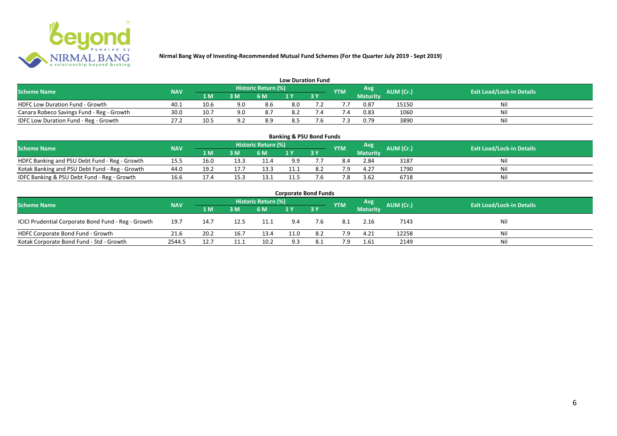

| <b>Low Duration Fund</b>                  |            |      |     |                            |     |  |            |          |           |                                  |  |  |  |  |
|-------------------------------------------|------------|------|-----|----------------------------|-----|--|------------|----------|-----------|----------------------------------|--|--|--|--|
| <b>Scheme Name</b>                        | <b>NAV</b> |      |     | <b>Historic Return (%)</b> |     |  | <b>YTM</b> | Avg      | AUM (Cr.) | <b>Exit Load/Lock-in Details</b> |  |  |  |  |
|                                           |            | 1 M  | 3 M | 6 M                        | 1 Y |  |            | Maturity |           |                                  |  |  |  |  |
| <b>HDFC Low Duration Fund - Growth</b>    | 40.1       | 10.6 | 9.0 | 8.6                        | 8.0 |  |            | 0.87     | 15150     | Nil                              |  |  |  |  |
| Canara Robeco Savings Fund - Reg - Growth | 30.0       | 10.7 | 9.0 | 8.7                        | 8.2 |  | '.4        | 0.83     | 1060      | Nil                              |  |  |  |  |
| IDFC Low Duration Fund - Reg - Growth     | 27.2       | 10.5 | റി  | 8.9                        | 8.5 |  |            | 0.79     | 3890      | Nil                              |  |  |  |  |

| <b>Banking &amp; PSU Bond Funds</b>                                                                                                                |      |      |      |      |      |    |     |                 |      |    |  |  |  |  |
|----------------------------------------------------------------------------------------------------------------------------------------------------|------|------|------|------|------|----|-----|-----------------|------|----|--|--|--|--|
| <b>Historic Return (%)</b><br><b>Avg</b><br><b>AUM (Cr.)</b><br><b>Exit Load/Lock-in Details</b><br><b>NAV</b><br><b>Scheme Name</b><br><b>YTM</b> |      |      |      |      |      |    |     |                 |      |    |  |  |  |  |
|                                                                                                                                                    |      | 1 M  | 3 M  | 6 M  |      | 3Y |     | <b>Maturity</b> |      |    |  |  |  |  |
| HDFC Banking and PSU Debt Fund - Reg - Growth                                                                                                      | 15.5 | 16.0 | 13.3 | 11.4 | 9.9  |    | 8.4 | 2.84            | 3187 | Ni |  |  |  |  |
| Kotak Banking and PSU Debt Fund - Reg - Growth                                                                                                     | 44.0 | 19.2 |      | 13.3 | 11.1 |    | 7 Q | 4.27            | 1790 | Ni |  |  |  |  |
| IDFC Banking & PSU Debt Fund - Reg - Growth                                                                                                        | 16.6 | 17.4 | 15.3 | 13.1 | 11.5 |    | 7.8 | 3.62            | 6718 | Ni |  |  |  |  |

| <b>Corporate Bond Funds</b>                         |                                  |      |      |      |      |           |            |                 |           |     |  |  |  |  |
|-----------------------------------------------------|----------------------------------|------|------|------|------|-----------|------------|-----------------|-----------|-----|--|--|--|--|
| <b>Scheme Name</b>                                  | <b>Exit Load/Lock-in Details</b> |      |      |      |      |           |            |                 |           |     |  |  |  |  |
|                                                     | <b>NAV</b>                       | 1 M  | 3 M  | 6 M  |      | <b>3Y</b> | <b>YTM</b> | <b>Maturity</b> | AUM (Cr.) |     |  |  |  |  |
| ICICI Prudential Corporate Bond Fund - Reg - Growth | 19.7                             | 14.7 | 12.5 | 11.1 | 9.4  | 7.6       | -8.1       | 2.16            | 7143      | Nil |  |  |  |  |
| HDFC Corporate Bond Fund - Growth                   | 21.6                             | 20.2 | 16.7 | 13.4 | 11.0 | 8.2       | 7.9        | 4.21            | 12258     | Nil |  |  |  |  |
| Kotak Corporate Bond Fund - Std - Growth            | 2544.5                           | 12.7 |      | 10.2 | 9.3  | 8.1       | 7.9        | 1.61            | 2149      | Nil |  |  |  |  |